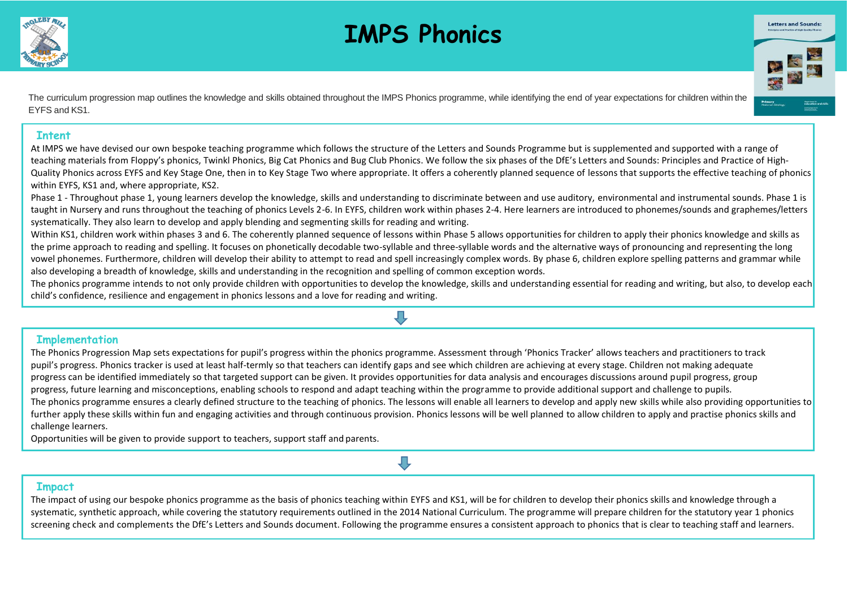

## **IMPS Phonics**



The curriculum progression map outlines the knowledge and skills obtained throughout the IMPS Phonics programme, while identifying the end of year expectations for children within the EYFS and KS1.

## **Intent**

At IMPS we have devised our own bespoke teaching programme which follows the structure of the Letters and Sounds Programme but is supplemented and supported with a range of teaching materials from Floppy's phonics, Twinkl Phonics, Big Cat Phonics and Bug Club Phonics. We follow the six phases of the DfE's Letters and Sounds: Principles and Practice of High-Quality Phonics across EYFS and Key Stage One, then in to Key Stage Two where appropriate. It offers a coherently planned sequence of lessons that supports the effective teaching of phonics within EYFS, KS1 and, where appropriate, KS2.

Phase 1 - Throughout phase 1, young learners develop the knowledge, skills and understanding to discriminate between and use auditory, environmental and instrumental sounds. Phase 1 is taught in Nursery and runs throughout the teaching of phonics Levels 2-6. In EYFS, children work within phases 2-4. Here learners are introduced to phonemes/sounds and graphemes/letters systematically. They also learn to develop and apply blending and segmenting skills for reading and writing.

Within KS1, children work within phases 3 and 6. The coherently planned sequence of lessons within Phase 5 allows opportunities for children to apply their phonics knowledge and skills as the prime approach to reading and spelling. It focuses on phonetically decodable two-syllable and three-syllable words and the alternative ways of pronouncing and representing the long vowel phonemes. Furthermore, children will develop their ability to attempt to read and spell increasingly complex words. By phase 6, children explore spelling patterns and grammar while also developing a breadth of knowledge, skills and understanding in the recognition and spelling of common exception words.

The phonics programme intends to not only provide children with opportunities to develop the knowledge, skills and understanding essential for reading and writing, but also, to develop each child's confidence, resilience and engagement in phonics lessons and a love for reading and writing.

Л

## **Implementation**

The Phonics Progression Map sets expectations for pupil's progress within the phonics programme. Assessment through 'Phonics Tracker' allows teachers and practitioners to track pupil's progress. Phonics tracker is used at least half-termly so that teachers can identify gaps and see which children are achieving at every stage. Children not making adequate progress can be identified immediately so that targeted support can be given. It provides opportunities for data analysis and encourages discussions around pupil progress, group progress, future learning and misconceptions, enabling schools to respond and adapt teaching within the programme to provide additional support and challenge to pupils. The phonics programme ensures a clearly defined structure to the teaching of phonics. The lessons will enable all learners to develop and apply new skills while also providing opportunities to further apply these skills within fun and engaging activities and through continuous provision. Phonics lessons will be well planned to allow children to apply and practise phonics skills and challenge learners.

Opportunities will be given to provide support to teachers, support staff and parents.

## **Impact**

The impact of using our bespoke phonics programme as the basis of phonics teaching within EYFS and KS1, will be for children to develop their phonics skills and knowledge through a systematic, synthetic approach, while covering the statutory requirements outlined in the 2014 National Curriculum. The programme will prepare children for the statutory year 1 phonics screening check and complements the DfE's Letters and Sounds document. Following the programme ensures a consistent approach to phonics that is clear to teaching staff and learners.

Л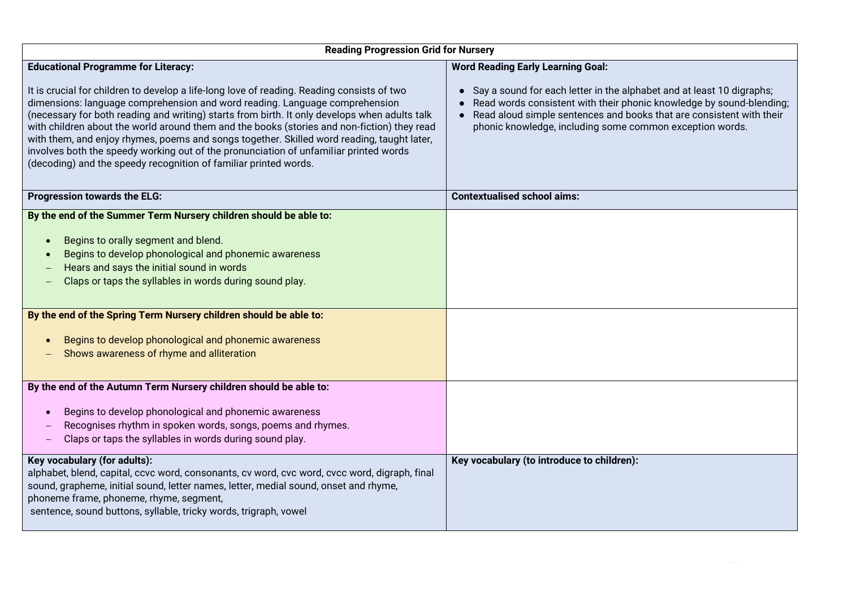| <b>Reading Progression Grid for Nursery</b>                                                                                                                                                                                                                                                                                                                                                                                                                                                                                                                                                                                          |                                                                                                                                                                                                                                                                                         |  |  |  |
|--------------------------------------------------------------------------------------------------------------------------------------------------------------------------------------------------------------------------------------------------------------------------------------------------------------------------------------------------------------------------------------------------------------------------------------------------------------------------------------------------------------------------------------------------------------------------------------------------------------------------------------|-----------------------------------------------------------------------------------------------------------------------------------------------------------------------------------------------------------------------------------------------------------------------------------------|--|--|--|
| <b>Educational Programme for Literacy:</b>                                                                                                                                                                                                                                                                                                                                                                                                                                                                                                                                                                                           | <b>Word Reading Early Learning Goal:</b>                                                                                                                                                                                                                                                |  |  |  |
| It is crucial for children to develop a life-long love of reading. Reading consists of two<br>dimensions: language comprehension and word reading. Language comprehension<br>(necessary for both reading and writing) starts from birth. It only develops when adults talk<br>with children about the world around them and the books (stories and non-fiction) they read<br>with them, and enjoy rhymes, poems and songs together. Skilled word reading, taught later,<br>involves both the speedy working out of the pronunciation of unfamiliar printed words<br>(decoding) and the speedy recognition of familiar printed words. | • Say a sound for each letter in the alphabet and at least 10 digraphs;<br>• Read words consistent with their phonic knowledge by sound-blending;<br>• Read aloud simple sentences and books that are consistent with their<br>phonic knowledge, including some common exception words. |  |  |  |
| <b>Progression towards the ELG:</b>                                                                                                                                                                                                                                                                                                                                                                                                                                                                                                                                                                                                  | <b>Contextualised school aims:</b>                                                                                                                                                                                                                                                      |  |  |  |
| By the end of the Summer Term Nursery children should be able to:<br>Begins to orally segment and blend.<br>$\bullet$<br>Begins to develop phonological and phonemic awareness<br>Hears and says the initial sound in words<br>Claps or taps the syllables in words during sound play.<br>By the end of the Spring Term Nursery children should be able to:<br>Begins to develop phonological and phonemic awareness<br>Shows awareness of rhyme and alliteration                                                                                                                                                                    |                                                                                                                                                                                                                                                                                         |  |  |  |
| By the end of the Autumn Term Nursery children should be able to:                                                                                                                                                                                                                                                                                                                                                                                                                                                                                                                                                                    |                                                                                                                                                                                                                                                                                         |  |  |  |
| Begins to develop phonological and phonemic awareness<br>Recognises rhythm in spoken words, songs, poems and rhymes.<br>Claps or taps the syllables in words during sound play.                                                                                                                                                                                                                                                                                                                                                                                                                                                      |                                                                                                                                                                                                                                                                                         |  |  |  |
| Key vocabulary (for adults):<br>alphabet, blend, capital, ccvc word, consonants, cv word, cvc word, cvcc word, digraph, final<br>sound, grapheme, initial sound, letter names, letter, medial sound, onset and rhyme,<br>phoneme frame, phoneme, rhyme, segment,<br>sentence, sound buttons, syllable, tricky words, trigraph, vowel                                                                                                                                                                                                                                                                                                 | Key vocabulary (to introduce to children):                                                                                                                                                                                                                                              |  |  |  |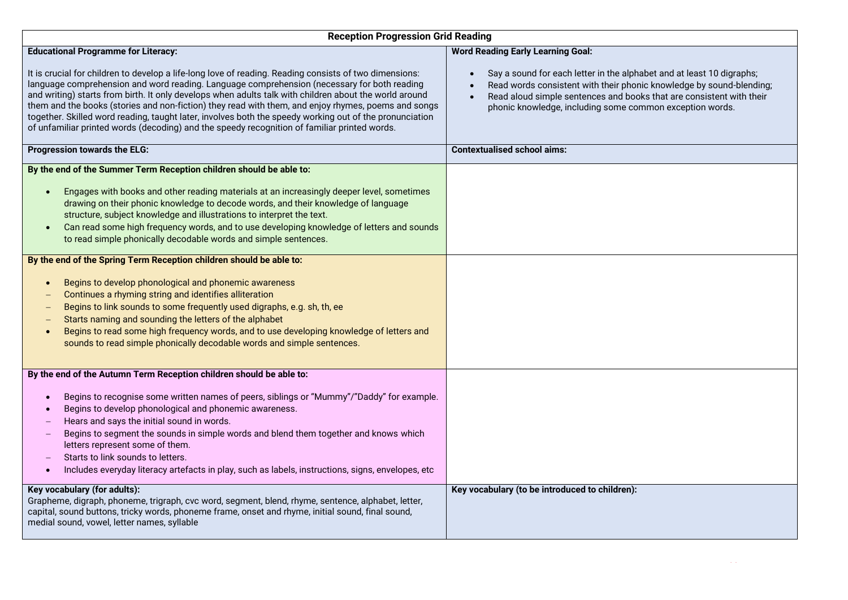| <b>Reception Progression Grid Reading</b>                                                                                                                                                                                                                                                                                                                                                                                                                                                                                                                                                                                         |                                                                                                                                                                                                                                                                                   |  |  |
|-----------------------------------------------------------------------------------------------------------------------------------------------------------------------------------------------------------------------------------------------------------------------------------------------------------------------------------------------------------------------------------------------------------------------------------------------------------------------------------------------------------------------------------------------------------------------------------------------------------------------------------|-----------------------------------------------------------------------------------------------------------------------------------------------------------------------------------------------------------------------------------------------------------------------------------|--|--|
| <b>Educational Programme for Literacy:</b>                                                                                                                                                                                                                                                                                                                                                                                                                                                                                                                                                                                        | <b>Word Reading Early Learning Goal:</b>                                                                                                                                                                                                                                          |  |  |
| It is crucial for children to develop a life-long love of reading. Reading consists of two dimensions:<br>language comprehension and word reading. Language comprehension (necessary for both reading<br>and writing) starts from birth. It only develops when adults talk with children about the world around<br>them and the books (stories and non-fiction) they read with them, and enjoy rhymes, poems and songs<br>together. Skilled word reading, taught later, involves both the speedy working out of the pronunciation<br>of unfamiliar printed words (decoding) and the speedy recognition of familiar printed words. | Say a sound for each letter in the alphabet and at least 10 digraphs;<br>Read words consistent with their phonic knowledge by sound-blending;<br>Read aloud simple sentences and books that are consistent with their<br>phonic knowledge, including some common exception words. |  |  |
| Progression towards the ELG:                                                                                                                                                                                                                                                                                                                                                                                                                                                                                                                                                                                                      | <b>Contextualised school aims:</b>                                                                                                                                                                                                                                                |  |  |
| By the end of the Summer Term Reception children should be able to:                                                                                                                                                                                                                                                                                                                                                                                                                                                                                                                                                               |                                                                                                                                                                                                                                                                                   |  |  |
| Engages with books and other reading materials at an increasingly deeper level, sometimes<br>$\bullet$<br>drawing on their phonic knowledge to decode words, and their knowledge of language<br>structure, subject knowledge and illustrations to interpret the text.<br>Can read some high frequency words, and to use developing knowledge of letters and sounds<br>to read simple phonically decodable words and simple sentences.                                                                                                                                                                                             |                                                                                                                                                                                                                                                                                   |  |  |
| By the end of the Spring Term Reception children should be able to:                                                                                                                                                                                                                                                                                                                                                                                                                                                                                                                                                               |                                                                                                                                                                                                                                                                                   |  |  |
| Begins to develop phonological and phonemic awareness<br>$\bullet$<br>Continues a rhyming string and identifies alliteration<br>Begins to link sounds to some frequently used digraphs, e.g. sh, th, ee<br>Starts naming and sounding the letters of the alphabet<br>Begins to read some high frequency words, and to use developing knowledge of letters and<br>$\bullet$<br>sounds to read simple phonically decodable words and simple sentences.                                                                                                                                                                              |                                                                                                                                                                                                                                                                                   |  |  |
| By the end of the Autumn Term Reception children should be able to:                                                                                                                                                                                                                                                                                                                                                                                                                                                                                                                                                               |                                                                                                                                                                                                                                                                                   |  |  |
| Begins to recognise some written names of peers, siblings or "Mummy"/"Daddy" for example.<br>$\bullet$<br>Begins to develop phonological and phonemic awareness.<br>$\bullet$<br>Hears and says the initial sound in words.<br>Begins to segment the sounds in simple words and blend them together and knows which<br>$\overline{\phantom{m}}$<br>letters represent some of them.<br>Starts to link sounds to letters.<br>$\overline{\phantom{m}}$<br>Includes everyday literacy artefacts in play, such as labels, instructions, signs, envelopes, etc<br>$\bullet$                                                             |                                                                                                                                                                                                                                                                                   |  |  |
| Key vocabulary (for adults):<br>Grapheme, digraph, phoneme, trigraph, cvc word, segment, blend, rhyme, sentence, alphabet, letter,<br>capital, sound buttons, tricky words, phoneme frame, onset and rhyme, initial sound, final sound,<br>medial sound, vowel, letter names, syllable                                                                                                                                                                                                                                                                                                                                            | Key vocabulary (to be introduced to children):                                                                                                                                                                                                                                    |  |  |